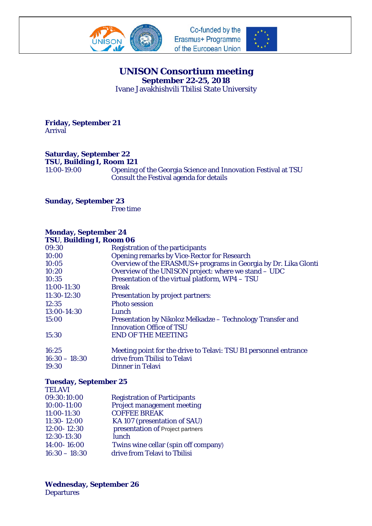





## **UNISON Consortium meeting September 22-25, 2018**

Ivane Javakhishvili Tbilisi State University

**Friday, September 21** Arrival

**Saturday, September 22 TSU, Building I, Room 121**<br>11:00-19:00 Opening

Opening of the Georgia Science and Innovation Festival at TSU Consult the Festival agenda for details

**Sunday, September 23**

Free time

## **Monday, September 24**

| TSU, Building I, Room 06 |                                                                  |  |
|--------------------------|------------------------------------------------------------------|--|
| 09:30                    | Registration of the participants                                 |  |
| 10:00                    | <b>Opening remarks by Vice-Rector for Research</b>               |  |
| 10:05                    | Overview of the ERASMUS+ programs in Georgia by Dr. Lika Glonti  |  |
| 10:20                    | Overview of the UNISON project: where we stand - UDC             |  |
| 10:35                    | Presentation of the virtual platform, WP4 - TSU                  |  |
| 11:00-11:30              | <b>Break</b>                                                     |  |
| 11:30-12:30              | <b>Presentation by project partners:</b>                         |  |
| 12:35                    | <b>Photo session</b>                                             |  |
| 13:00-14:30              | Lunch                                                            |  |
| 15:00                    | Presentation by Nikoloz Melkadze - Technology Transfer and       |  |
|                          | <b>Innovation Office of TSU</b>                                  |  |
| 15:30                    | <b>END OF THE MEETING</b>                                        |  |
| 16:25                    | Meeting point for the drive to Telavi: TSU B1 personnel entrance |  |
| $16:30 - 18:30$          | drive from Tbilisi to Telavi                                     |  |

19:30 Dinner in Telavi

## **Tuesday, September 25**

| <b>TELAVI</b>   |                                      |
|-----------------|--------------------------------------|
| 09:30:10:00     | <b>Registration of Participants</b>  |
| 10:00-11:00     | <b>Project management meeting</b>    |
| 11:00-11:30     | <b>COFFEE BREAK</b>                  |
| 11:30-12:00     | KA 107 (presentation of SAU)         |
| 12:00-12:30     | presentation of Project partners     |
| 12:30-13:30     | lunch                                |
| 14:00-16:00     | Twins wine cellar (spin off company) |
| $16:30 - 18:30$ | drive from Telavi to Tbilisi         |
|                 |                                      |

**Wednesday, September 26** Departures